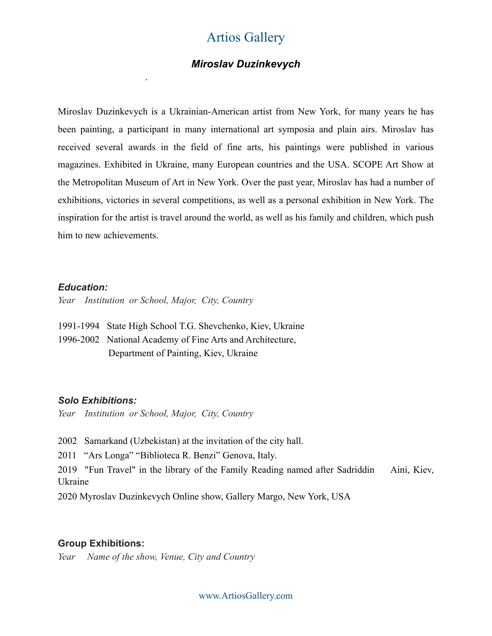### *Miroslav Duzinkevych*

Miroslav Duzinkevych is a Ukrainian-American artist from New York, for many years he has been painting, a participant in many international art symposia and plain airs. Miroslav has received several awards in the field of fine arts, his paintings were published in various magazines. Exhibited in Ukraine, many European countries and the USA. SCOPE Art Show at the Metropolitan Museum of Art in New York. Over the past year, Miroslav has had a number of exhibitions, victories in several competitions, as well as a personal exhibition in New York. The inspiration for the artist is travel around the world, as well as his family and children, which push him to new achievements.

#### *Education:*

*.* 

*Year Institution or School, Major, City, Country* 

1991-1994 State High School T.G. Shevchenko, Kiev, Ukraine

1996-2002 National Academy of Fine Arts and Architecture, Department of Painting, Kiev, Ukraine

#### *Solo Exhibitions:*

*Year Institution or School, Major, City, Country* 

2002 Samarkand (Uzbekistan) at the invitation of the city hall.

2011 "Ars Longa" "Biblioteca R. Benzi" Genova, Italy.

2019 "Fun Travel" in the library of the Family Reading named after Sadriddin Aini, Kiev, Ukraine

2020 Myroslav Duzinkevych Online show, Gallery Margo, New York, USA

#### **Group Exhibitions:**

*Year Name of the show, Venue, City and Country*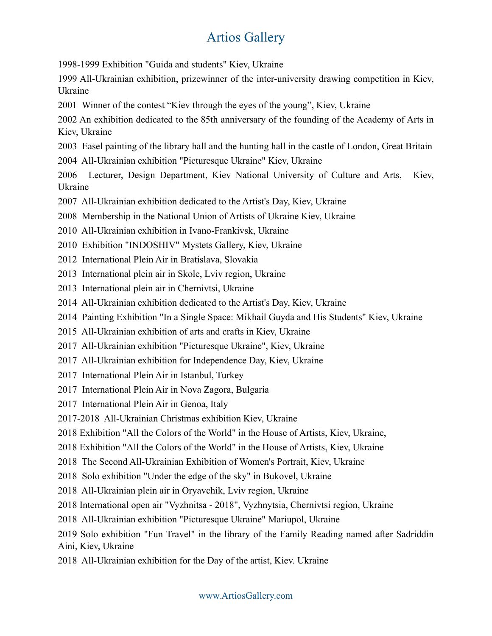1998-1999 Exhibition "Guida and students" Kiev, Ukraine

1999 All-Ukrainian exhibition, prizewinner of the inter-university drawing competition in Kiev, Ukraine

2001 Winner of the contest "Kiev through the eyes of the young", Kiev, Ukraine

2002 An exhibition dedicated to the 85th anniversary of the founding of the Academy of Arts in Kiev, Ukraine

- 2003 Easel painting of the library hall and the hunting hall in the castle of London, Great Britain
- 2004 All-Ukrainian exhibition "Picturesque Ukraine" Kiev, Ukraine

2006 Lecturer, Design Department, Kiev National University of Culture and Arts, Kiev, Ukraine

- 2007 All-Ukrainian exhibition dedicated to the Artist's Day, Kiev, Ukraine
- 2008 Membership in the National Union of Artists of Ukraine Kiev, Ukraine
- 2010 All-Ukrainian exhibition in Ivano-Frankivsk, Ukraine
- 2010 Exhibition "INDOSHIV" Mystets Gallery, Kiev, Ukraine
- 2012 International Plein Air in Bratislava, Slovakia
- 2013 International plein air in Skole, Lviv region, Ukraine
- 2013 International plein air in Chernivtsi, Ukraine
- 2014 All-Ukrainian exhibition dedicated to the Artist's Day, Kiev, Ukraine
- 2014 Painting Exhibition "In a Single Space: Mikhail Guyda and His Students" Kiev, Ukraine
- 2015 All-Ukrainian exhibition of arts and crafts in Kiev, Ukraine
- 2017 All-Ukrainian exhibition "Picturesque Ukraine", Kiev, Ukraine
- 2017 All-Ukrainian exhibition for Independence Day, Kiev, Ukraine
- 2017 International Plein Air in Istanbul, Turkey
- 2017 International Plein Air in Nova Zagora, Bulgaria
- 2017 International Plein Air in Genoa, Italy
- 2017-2018 All-Ukrainian Christmas exhibition Kiev, Ukraine
- 2018 Exhibition "All the Colors of the World" in the House of Artists, Kiev, Ukraine,
- 2018 Exhibition "All the Colors of the World" in the House of Artists, Kiev, Ukraine
- 2018 The Second All-Ukrainian Exhibition of Women's Portrait, Kiev, Ukraine
- 2018 Solo exhibition "Under the edge of the sky" in Bukovel, Ukraine
- 2018 All-Ukrainian plein air in Oryavchik, Lviv region, Ukraine
- 2018 International open air "Vyzhnitsa 2018", Vyzhnytsia, Chernivtsi region, Ukraine
- 2018 All-Ukrainian exhibition "Picturesque Ukraine" Mariupol, Ukraine
- 2019 Solo exhibition "Fun Travel" in the library of the Family Reading named after Sadriddin Aini, Kiev, Ukraine
- 2018 All-Ukrainian exhibition for the Day of the artist, Kiev. Ukraine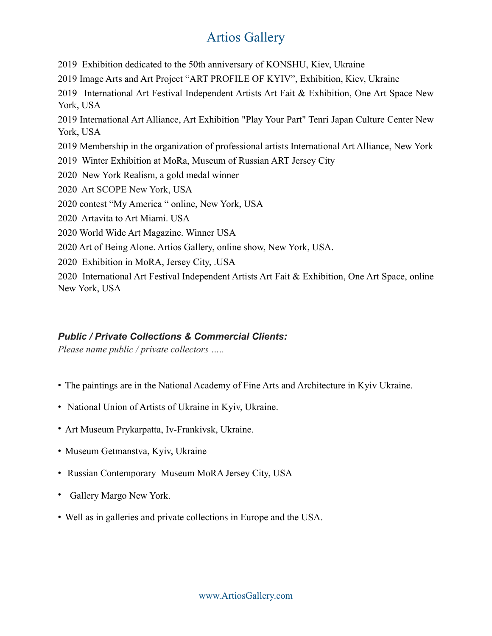2019 Exhibition dedicated to the 50th anniversary of KONSHU, Kiev, Ukraine 2019 Image Arts and Art Project "ART PROFILE OF KYIV", Exhibition, Kiev, Ukraine 2019 International Art Festival Independent Artists Art Fait & Exhibition, One Art Space New York, USA 2019 International Art Alliance, Art Exhibition "Play Your Part" Tenri Japan Culture Center New York, USA 2019 Membership in the organization of professional artists International Art Alliance, New York 2019 Winter Exhibition at MoRa, Museum of Russian ART Jersey City 2020 New York Realism, a gold medal winner 2020 Art SCOPE New York, USA 2020 contest "My America " online, New York, USA 2020 Artavita to Art Miami. USA 2020 World Wide Art Magazine. Winner USA 2020 Art of Being Alone. Artios Gallery, online show, New York, USA. 2020 Exhibition in MoRA, Jersey City, .USA 2020 International Art Festival Independent Artists Art Fait & Exhibition, One Art Space, online New York, USA

### *Public / Private Collections & Commercial Clients:*

*Please name public / private collectors …..* 

- The paintings are in the National Academy of Fine Arts and Architecture in Kyiv Ukraine.
- National Union of Artists of Ukraine in Kyiv, Ukraine.
- Art Museum Prykarpatta, Iv-Frankivsk, Ukraine.
- Museum Getmanstva, Kyiv, Ukraine
- Russian Contemporary Museum MoRA Jersey City, USA
- Gallery Margo New York.
- Well as in galleries and private collections in Europe and the USA.